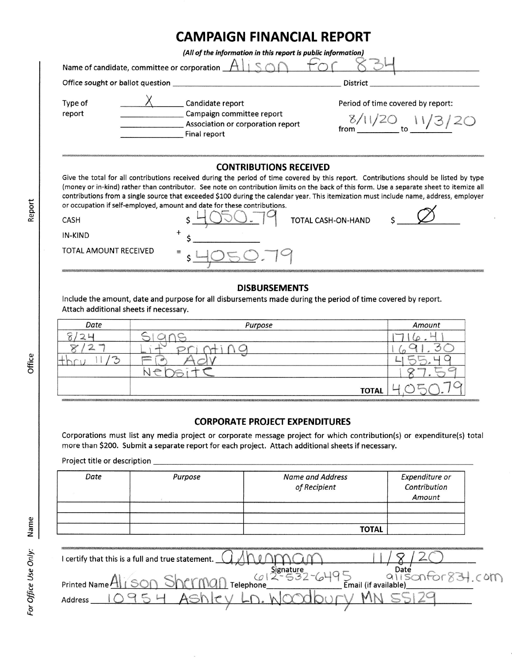## CAMPAIGN FINANCIAL REPORT

(All of the information in this report is public information)

tor

Name of candidate, committee or corporation  $A\Box$  Son

Office sought or ballot question District District

Type of report

 $X \sim$  Candidate report Campaign committee report Association or corporation report Final report

Period of time covered by report:

 $\frac{8/11/20}{10}$  to  $\frac{11/3}{20}$ 

## **CONTRIBUTIONS RECEIVED**

Give the total for all contributions received during the period of time covered by this report. Contributions should be listed by type (money or in-kind) rather than contributor. See note on contribution limits on the back of this form. Use a separate sheet to itemize all or occupation if self-employed, amount and date for these contributions.

| contributions from a single source that exceeded \$100 during the calendar year. This itemization must include name, address, employer |                                                                          |  |
|----------------------------------------------------------------------------------------------------------------------------------------|--------------------------------------------------------------------------|--|
|                                                                                                                                        | or occupation if self-employed, amount and date for these contributions. |  |
| <b>CASH</b>                                                                                                                            | TOTAL CASH-ON-HAND                                                       |  |
| IN-KIND                                                                                                                                |                                                                          |  |
| TOTAL AMOUNT RECEIVED                                                                                                                  |                                                                          |  |
|                                                                                                                                        |                                                                          |  |

## DISBURSEMENTS

lnclude the amount, date and purpose for all disbursements made during the period of time covered by report Attach additional sheets if necessary.

| Date               | Purpose                        | Amount                               |
|--------------------|--------------------------------|--------------------------------------|
|                    |                                | <b>GON</b>                           |
| <b>SCIENCE</b>     | lanes.                         |                                      |
| <b>Designation</b> | استه<br>arrenten.              |                                      |
|                    | $-1$ $-$<br>$\curvearrowright$ | <b>SECURERS</b><br><b>STATISTICS</b> |
|                    | <b>TOTAL</b>                   |                                      |

## CORPORATE PROJECT EXPENDITURES

Corporations must list any media project or corporate message project for which contribution(s) or expenditure(s) total more than \$200. Submit a separate report for each project. Attach additional sheets if necessary.

Project title or description

| Date | Purpose | Name and Address<br>of Recipient | Expenditure or<br>Contribution<br>Amount |
|------|---------|----------------------------------|------------------------------------------|
|      |         | <b>TOTAL</b>                     |                                          |

| I certify that this is a full and true statement.                    |
|----------------------------------------------------------------------|
|                                                                      |
| $-$ 017                                                              |
| $\sum_{\mathsf{Small\ (if available)}}$<br>Telephone<br>Printed Name |
| Address                                                              |
|                                                                      |

Repor

ပ<br>ပ o